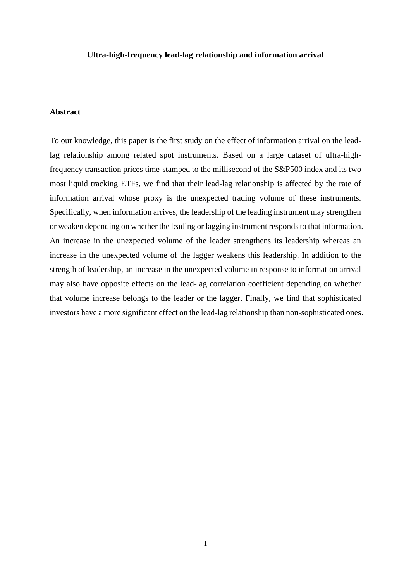### **Ultra-high-frequency lead-lag relationship and information arrival**

# **Abstract**

To our knowledge, this paper is the first study on the effect of information arrival on the leadlag relationship among related spot instruments. Based on a large dataset of ultra-highfrequency transaction prices time-stamped to the millisecond of the S&P500 index and its two most liquid tracking ETFs, we find that their lead-lag relationship is affected by the rate of information arrival whose proxy is the unexpected trading volume of these instruments. Specifically, when information arrives, the leadership of the leading instrument may strengthen or weaken depending on whether the leading or lagging instrument responds to that information. An increase in the unexpected volume of the leader strengthens its leadership whereas an increase in the unexpected volume of the lagger weakens this leadership. In addition to the strength of leadership, an increase in the unexpected volume in response to information arrival may also have opposite effects on the lead-lag correlation coefficient depending on whether that volume increase belongs to the leader or the lagger. Finally, we find that sophisticated investors have a more significant effect on the lead-lag relationship than non-sophisticated ones.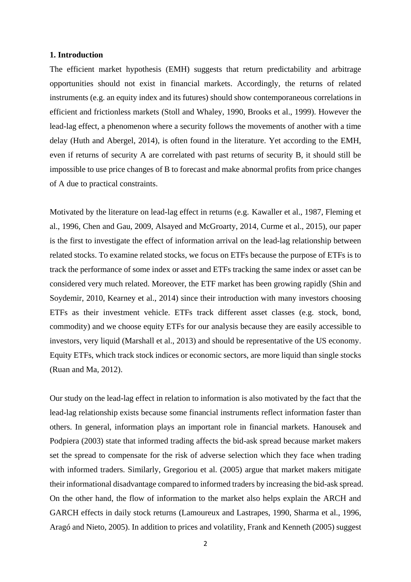### **1. Introduction**

The efficient market hypothesis (EMH) suggests that return predictability and arbitrage opportunities should not exist in financial markets. Accordingly, the returns of related instruments (e.g. an equity index and its futures) should show contemporaneous correlations in efficient and frictionless markets [\(Stoll and Whaley, 1990,](#page-23-0) [Brooks et al., 1999\)](#page-21-0). However the lead-lag effect, a phenomenon where a security follows the movements of another with a time delay [\(Huth and Abergel, 2014\)](#page-22-0), is often found in the literature. Yet according to the EMH, even if returns of security A are correlated with past returns of security B, it should still be impossible to use price changes of B to forecast and make abnormal profits from price changes of A due to practical constraints.

Motivated by the literature on lead-lag effect in returns (e.g. Kawaller et al., 1987, Fleming et [al., 1996,](#page-21-1) [Chen and Gau, 2009,](#page-21-2) [Alsayed and McGroarty, 2014,](#page-21-3) [Curme et al., 2015\)](#page-21-4), our paper is the first to investigate the effect of information arrival on the lead-lag relationship between related stocks. To examine related stocks, we focus on ETFs because the purpose of ETFs is to track the performance of some index or asset and ETFs tracking the same index or asset can be considered very much related. Moreover, the ETF market has been growing rapidly [\(Shin and](#page-22-2)  [Soydemir, 2010,](#page-22-2) [Kearney et al., 2014\)](#page-22-3) since their introduction with many investors choosing ETFs as their investment vehicle. ETFs track different asset classes (e.g. stock, bond, commodity) and we choose equity ETFs for our analysis because they are easily accessible to investors, very liquid [\(Marshall et al., 2013\)](#page-22-4) and should be representative of the US economy. Equity ETFs, which track stock indices or economic sectors, are more liquid than single stocks [\(Ruan and Ma, 2012\)](#page-22-5).

Our study on the lead-lag effect in relation to information is also motivated by the fact that the lead-lag relationship exists because some financial instruments reflect information faster than others. In general, information plays an important role in financial markets. [Hanousek and](#page-22-6)  Podpiera (2003) state that informed trading affects the bid-ask spread because market makers set the spread to compensate for the risk of adverse selection which they face when trading with informed traders. Similarly, [Gregoriou et al. \(2005\)](#page-21-5) argue that market makers mitigate their informational disadvantage compared to informed traders by increasing the bid-ask spread. On the other hand, the flow of information to the market also helps explain the ARCH and GARCH effects in daily stock returns [\(Lamoureux and Lastrapes, 1990,](#page-22-7) [Sharma et al., 1996,](#page-22-8) [Aragó and Nieto, 2005\)](#page-21-6). In addition to prices and volatility, [Frank and Kenneth \(2005\)](#page-21-7) suggest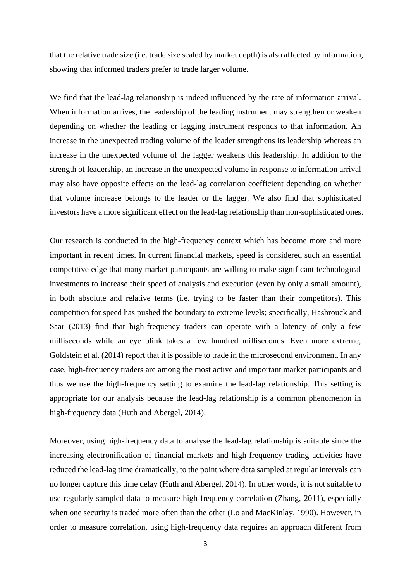that the relative trade size (i.e. trade size scaled by market depth) is also affected by information, showing that informed traders prefer to trade larger volume.

We find that the lead-lag relationship is indeed influenced by the rate of information arrival. When information arrives, the leadership of the leading instrument may strengthen or weaken depending on whether the leading or lagging instrument responds to that information. An increase in the unexpected trading volume of the leader strengthens its leadership whereas an increase in the unexpected volume of the lagger weakens this leadership. In addition to the strength of leadership, an increase in the unexpected volume in response to information arrival may also have opposite effects on the lead-lag correlation coefficient depending on whether that volume increase belongs to the leader or the lagger. We also find that sophisticated investors have a more significant effect on the lead-lag relationship than non-sophisticated ones.

Our research is conducted in the high-frequency context which has become more and more important in recent times. In current financial markets, speed is considered such an essential competitive edge that many market participants are willing to make significant technological investments to increase their speed of analysis and execution (even by only a small amount), in both absolute and relative terms (i.e. trying to be faster than their competitors). This competition for speed has pushed the boundary to extreme levels; specifically, [Hasbrouck and](#page-22-9)  Saar (2013) find that high-frequency traders can operate with a latency of only a few milliseconds while an eye blink takes a few hundred milliseconds. Even more extreme, [Goldstein et al. \(2014\)](#page-21-8) report that it is possible to trade in the microsecond environment. In any case, high-frequency traders are among the most active and important market participants and thus we use the high-frequency setting to examine the lead-lag relationship. This setting is appropriate for our analysis because the lead-lag relationship is a common phenomenon in high-frequency data [\(Huth and Abergel, 2014\)](#page-22-0).

Moreover, using high-frequency data to analyse the lead-lag relationship is suitable since the increasing electronification of financial markets and high-frequency trading activities have reduced the lead-lag time dramatically, to the point where data sampled at regular intervals can no longer capture this time delay [\(Huth and Abergel, 2014\)](#page-22-0). In other words, it is not suitable to use regularly sampled data to measure high-frequency correlation [\(Zhang, 2011\)](#page-23-1), especially when one security is traded more often than the other [\(Lo and MacKinlay, 1990\)](#page-22-10). However, in order to measure correlation, using high-frequency data requires an approach different from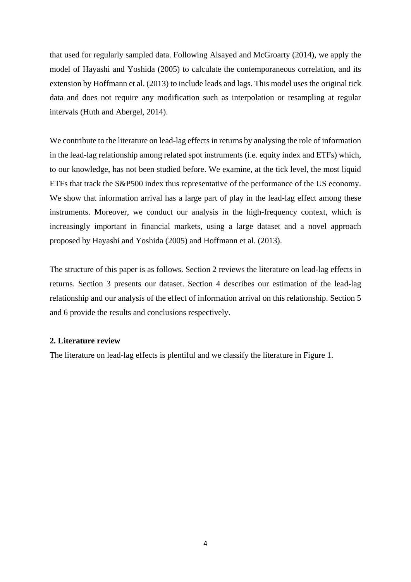that used for regularly sampled data. Following [Alsayed and McGroarty \(2014\),](#page-21-3) we apply the model of [Hayashi and Yoshida \(2005\)](#page-22-11) to calculate the contemporaneous correlation, and its extension by [Hoffmann et al. \(2013\)](#page-22-12) to include leads and lags. This model uses the original tick data and does not require any modification such as interpolation or resampling at regular intervals [\(Huth and Abergel, 2014\)](#page-22-0).

We contribute to the literature on lead-lag effects in returns by analysing the role of information in the lead-lag relationship among related spot instruments (i.e. equity index and ETFs) which, to our knowledge, has not been studied before. We examine, at the tick level, the most liquid ETFs that track the S&P500 index thus representative of the performance of the US economy. We show that information arrival has a large part of play in the lead-lag effect among these instruments. Moreover, we conduct our analysis in the high-frequency context, which is increasingly important in financial markets, using a large dataset and a novel approach proposed by [Hayashi and Yoshida \(2005\)](#page-22-11) and [Hoffmann et al. \(2013\).](#page-22-12)

The structure of this paper is as follows. Section 2 reviews the literature on lead-lag effects in returns. Section 3 presents our dataset. Section 4 describes our estimation of the lead-lag relationship and our analysis of the effect of information arrival on this relationship. Section 5 and 6 provide the results and conclusions respectively.

# **2. Literature review**

The literature on lead-lag effects is plentiful and we classify the literature in Figure 1.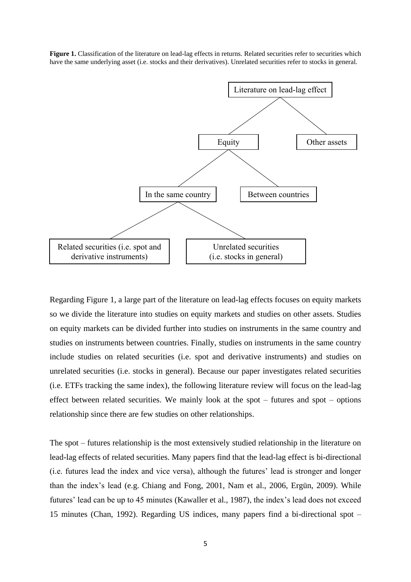**Figure 1.** Classification of the literature on lead-lag effects in returns. Related securities refer to securities which have the same underlying asset (i.e. stocks and their derivatives). Unrelated securities refer to stocks in general.



Regarding Figure 1, a large part of the literature on lead-lag effects focuses on equity markets so we divide the literature into studies on equity markets and studies on other assets. Studies on equity markets can be divided further into studies on instruments in the same country and studies on instruments between countries. Finally, studies on instruments in the same country include studies on related securities (i.e. spot and derivative instruments) and studies on unrelated securities (i.e. stocks in general). Because our paper investigates related securities (i.e. ETFs tracking the same index), the following literature review will focus on the lead-lag effect between related securities. We mainly look at the spot – futures and spot – options relationship since there are few studies on other relationships.

The spot – futures relationship is the most extensively studied relationship in the literature on lead-lag effects of related securities. Many papers find that the lead-lag effect is bi-directional (i.e. futures lead the index and vice versa), although the futures' lead is stronger and longer than the index's lead (e.g. Chiang and Fong, 2001, [Nam et al., 2006,](#page-22-13) [Ergün, 2009\)](#page-21-10). While futures' lead can be up to 45 minutes [\(Kawaller et al., 1987\)](#page-22-1), the index's lead does not exceed 15 minutes [\(Chan, 1992\)](#page-21-11). Regarding US indices, many papers find a bi-directional spot –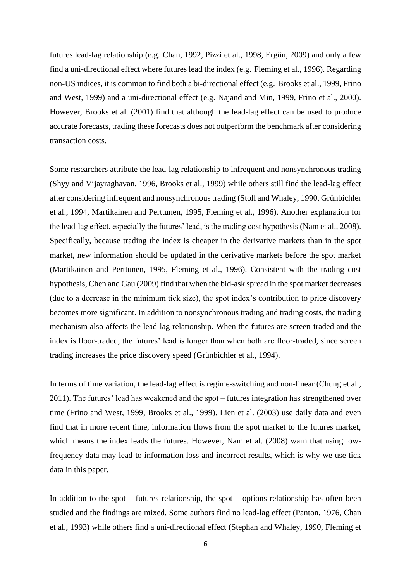futures lead-lag relationship (e.g. Chan, 1992, [Pizzi et al., 1998,](#page-22-14) [Ergün, 2009\)](#page-21-10) and only a few find a uni-directional effect where futures lead the index (e.g. Fleming et al., 1996). Regarding non-US indices, it is common to find both a bi-directional effect (e.g. Brooks et al., 1999, Frino [and West, 1999\)](#page-21-12) and a uni-directional effect (e.g. Najand and Min, 1999, [Frino et al., 2000\)](#page-21-13). However, [Brooks et al. \(2001\)](#page-21-14) find that although the lead-lag effect can be used to produce accurate forecasts, trading these forecasts does not outperform the benchmark after considering transaction costs.

Some researchers attribute the lead-lag relationship to infrequent and nonsynchronous trading [\(Shyy and Vijayraghavan, 1996,](#page-23-2) [Brooks et al., 1999\)](#page-21-0) while others still find the lead-lag effect after considering infrequent and nonsynchronous trading [\(Stoll and Whaley, 1990,](#page-23-0) [Grünbichler](#page-21-15)  [et al., 1994,](#page-21-15) [Martikainen and Perttunen, 1995,](#page-22-16) [Fleming et al., 1996\)](#page-21-1). Another explanation for the lead-lag effect, especially the futures' lead, is the trading cost hypothesis [\(Nam et al., 2008\)](#page-22-17). Specifically, because trading the index is cheaper in the derivative markets than in the spot market, new information should be updated in the derivative markets before the spot market [\(Martikainen and Perttunen, 1995,](#page-22-16) [Fleming et al., 1996\)](#page-21-1). Consistent with the trading cost hypothesis[, Chen and Gau \(2009\)](#page-21-2) find that when the bid-ask spread in the spot market decreases (due to a decrease in the minimum tick size), the spot index's contribution to price discovery becomes more significant. In addition to nonsynchronous trading and trading costs, the trading mechanism also affects the lead-lag relationship. When the futures are screen-traded and the index is floor-traded, the futures' lead is longer than when both are floor-traded, since screen trading increases the price discovery speed [\(Grünbichler et al., 1994\)](#page-21-15).

In terms of time variation, the lead-lag effect is regime-switching and non-linear [\(Chung et al.,](#page-21-16)  [2011\)](#page-21-16). The futures' lead has weakened and the spot – futures integration has strengthened over time [\(Frino and West, 1999,](#page-21-12) [Brooks et al., 1999\)](#page-21-0). [Lien et al. \(2003\)](#page-22-18) use daily data and even find that in more recent time, information flows from the spot market to the futures market, which means the index leads the futures. However, [Nam et al. \(2008\)](#page-22-17) warn that using lowfrequency data may lead to information loss and incorrect results, which is why we use tick data in this paper.

In addition to the spot – futures relationship, the spot – options relationship has often been studied and the findings are mixed. Some authors find no lead-lag effect [\(Panton, 1976,](#page-22-19) [Chan](#page-21-17)  [et al., 1993\)](#page-21-17) while others find a uni-directional effect [\(Stephan and Whaley, 1990,](#page-23-3) [Fleming et](#page-21-1)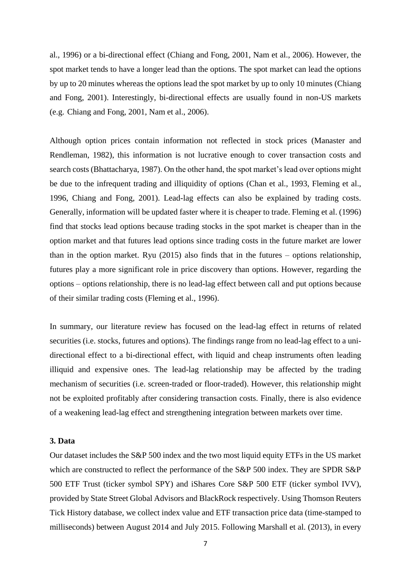[al., 1996\)](#page-21-1) or a bi-directional effect [\(Chiang and Fong, 2001,](#page-21-9) [Nam et al., 2006\)](#page-22-13). However, the spot market tends to have a longer lead than the options. The spot market can lead the options by up to 20 minutes whereas the options lead the spot market by up to only 10 minutes [\(Chiang](#page-21-9)  [and Fong, 2001\)](#page-21-9). Interestingly, bi-directional effects are usually found in non-US markets (e.g. Chiang and Fong,  $2001$ , Nam et al.,  $2006$ ).

Although option prices contain information not reflected in stock prices [\(Manaster and](#page-22-20)  [Rendleman, 1982\)](#page-22-20), this information is not lucrative enough to cover transaction costs and search costs [\(Bhattacharya, 1987\)](#page-21-18). On the other hand, the spot market's lead over options might be due to the infrequent trading and illiquidity of options [\(Chan et al., 1993,](#page-21-17) [Fleming et al.,](#page-21-1)  [1996,](#page-21-1) [Chiang and Fong, 2001\)](#page-21-9). Lead-lag effects can also be explained by trading costs. Generally, information will be updated faster where it is cheaper to trade. [Fleming et al. \(1996\)](#page-21-1) find that stocks lead options because trading stocks in the spot market is cheaper than in the option market and that futures lead options since trading costs in the future market are lower than in the option market. [Ryu \(2015\)](#page-22-21) also finds that in the futures – options relationship, futures play a more significant role in price discovery than options. However, regarding the options – options relationship, there is no lead-lag effect between call and put options because of their similar trading costs [\(Fleming et al., 1996\)](#page-21-1).

In summary, our literature review has focused on the lead-lag effect in returns of related securities (i.e. stocks, futures and options). The findings range from no lead-lag effect to a unidirectional effect to a bi-directional effect, with liquid and cheap instruments often leading illiquid and expensive ones. The lead-lag relationship may be affected by the trading mechanism of securities (i.e. screen-traded or floor-traded). However, this relationship might not be exploited profitably after considering transaction costs. Finally, there is also evidence of a weakening lead-lag effect and strengthening integration between markets over time.

# **3. Data**

Our dataset includes the S&P 500 index and the two most liquid equity ETFs in the US market which are constructed to reflect the performance of the S&P 500 index. They are SPDR S&P 500 ETF Trust (ticker symbol SPY) and iShares Core S&P 500 ETF (ticker symbol IVV), provided by State Street Global Advisors and BlackRock respectively. Using Thomson Reuters Tick History database, we collect index value and ETF transaction price data (time-stamped to milliseconds) between August 2014 and July 2015. Following [Marshall et al. \(2013\),](#page-22-4) in every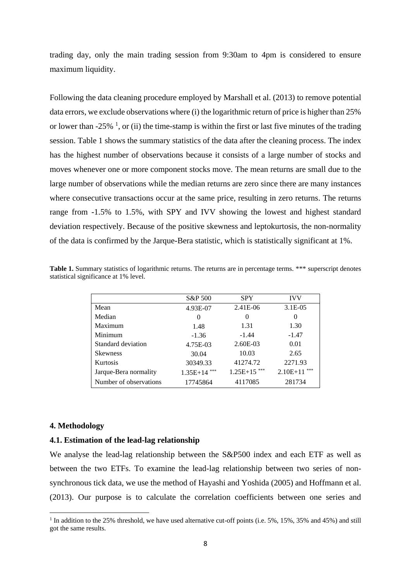trading day, only the main trading session from 9:30am to 4pm is considered to ensure maximum liquidity.

Following the data cleaning procedure employed by [Marshall et al. \(2013\)](#page-22-4) to remove potential data errors, we exclude observations where (i) the logarithmic return of price is higher than 25% or lower than  $-25\%$ <sup>1</sup>, or (ii) the time-stamp is within the first or last five minutes of the trading session. Table 1 shows the summary statistics of the data after the cleaning process. The index has the highest number of observations because it consists of a large number of stocks and moves whenever one or more component stocks move. The mean returns are small due to the large number of observations while the median returns are zero since there are many instances where consecutive transactions occur at the same price, resulting in zero returns. The returns range from -1.5% to 1.5%, with SPY and IVV showing the lowest and highest standard deviation respectively. Because of the positive skewness and leptokurtosis, the non-normality of the data is confirmed by the Jarque-Bera statistic, which is statistically significant at 1%.

|                        | S&P 500        | <b>SPY</b> | <b>IVV</b>        |
|------------------------|----------------|------------|-------------------|
| Mean                   | 4.93E-07       | 2.41E-06   | $3.1E-05$         |
| Median                 | $\theta$       | $\theta$   | $\theta$          |
| Maximum                | 1.48           | 1.31       | 1.30              |
| Minimum                | $-1.36$        | $-1.44$    | $-1.47$           |
| Standard deviation     | 4.75E-03       | 2.60E-03   | 0.01              |
| <b>Skewness</b>        | 30.04          | 10.03      | 2.65              |
| <b>Kurtosis</b>        | 30349.33       | 41274.72   | 2271.93           |
| Jarque-Bera normality  | $1.35E+14$ *** | $1.25E+15$ | ***<br>$2.10E+11$ |
| Number of observations | 17745864       | 4117085    | 281734            |

Table 1. Summary statistics of logarithmic returns. The returns are in percentage terms. \*\*\* superscript denotes statistical significance at 1% level.

#### **4. Methodology**

1

## **4.1. Estimation of the lead-lag relationship**

We analyse the lead-lag relationship between the S&P500 index and each ETF as well as between the two ETFs. To examine the lead-lag relationship between two series of nonsynchronous tick data, we use the method of [Hayashi and Yoshida \(2005\)](#page-22-11) and [Hoffmann et al.](#page-22-12)  (2013). Our purpose is to calculate the correlation coefficients between one series and

<sup>&</sup>lt;sup>1</sup> In addition to the 25% threshold, we have used alternative cut-off points (i.e. 5%, 15%, 35% and 45%) and still got the same results.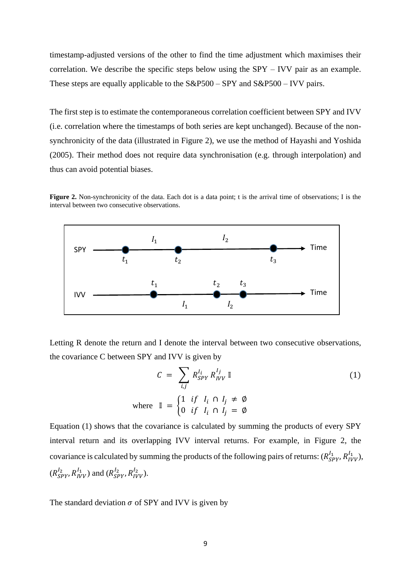timestamp-adjusted versions of the other to find the time adjustment which maximises their correlation. We describe the specific steps below using the SPY – IVV pair as an example. These steps are equally applicable to the S&P500 – SPY and S&P500 – IVV pairs.

The first step is to estimate the contemporaneous correlation coefficient between SPY and IVV (i.e. correlation where the timestamps of both series are kept unchanged). Because of the nonsynchronicity of the data (illustrated in Figure 2), we use the method of [Hayashi and Yoshida](#page-22-11)  (2005). Their method does not require data synchronisation (e.g. through interpolation) and thus can avoid potential biases.

**Figure 2.** Non-synchronicity of the data. Each dot is a data point; t is the arrival time of observations; I is the interval between two consecutive observations.



Letting R denote the return and I denote the interval between two consecutive observations, the covariance C between SPY and IVV is given by

$$
C = \sum_{i,j} R_{SPY}^{I_i} R_{IVV}^{I_j} \mathbb{I}
$$
  
where 
$$
\mathbb{I} = \begin{cases} 1 & \text{if } I_i \cap I_j \neq \emptyset \\ 0 & \text{if } I_i \cap I_j = \emptyset \end{cases}
$$
 (1)

Equation (1) shows that the covariance is calculated by summing the products of every SPY interval return and its overlapping IVV interval returns. For example, in Figure 2, the covariance is calculated by summing the products of the following pairs of returns:  $(R_{SPY}^{I_1}, R_{IVV}^{I_1}),$  $(R_{SPY}^{I_2}, R_{IVV}^{I_1})$  and  $(R_{SPY}^{I_2}, R_{IVV}^{I_2})$ .

The standard deviation  $\sigma$  of SPY and IVV is given by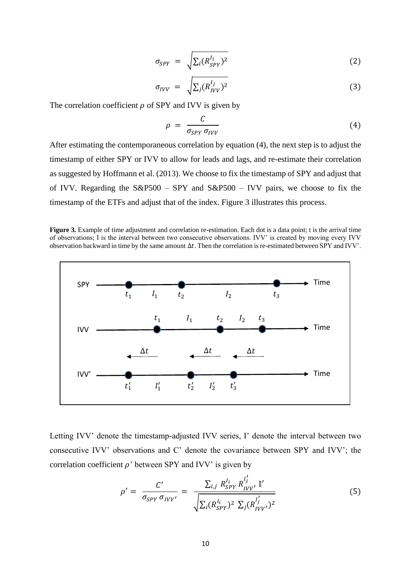$$
\sigma_{SPY} = \sqrt{\sum_{i} (R_{SPY}^{l_i})^2} \tag{2}
$$

$$
\sigma_{IVV} = \sqrt{\sum_j (R_{IVV}^{I_j})^2} \tag{3}
$$

The correlation coefficient  $\rho$  of SPY and IVV is given by

$$
\rho = \frac{C}{\sigma_{SPY} \sigma_{IVV}} \tag{4}
$$

After estimating the contemporaneous correlation by equation (4), the next step is to adjust the timestamp of either SPY or IVV to allow for leads and lags, and re-estimate their correlation as suggested by [Hoffmann et al. \(2013\).](#page-22-12) We choose to fix the timestamp of SPY and adjust that of IVV. Regarding the  $S\&P500 - SPY$  and  $S\&P500 - IVV$  pairs, we choose to fix the timestamp of the ETFs and adjust that of the index. Figure 3 illustrates this process.

**Figure 3.** Example of time adjustment and correlation re-estimation. Each dot is a data point; t is the arrival time of observations; I is the interval between two consecutive observations. IVV' is created by moving every IVV observation backward in time by the same amount  $\Delta t$ . Then the correlation is re-estimated between SPY and IVV'.



Letting IVV' denote the timestamp-adjusted IVV series, I' denote the interval between two consecutive IVV' observations and C' denote the covariance between SPY and IVV'; the correlation coefficient  $\rho$ ' between SPY and IVV' is given by

$$
\rho' = \frac{C'}{\sigma_{SPY} \sigma_{IVV'}} = \frac{\sum_{i,j} R_{SPY}^{I_i} R_{IVV'}^{I'_j} \mathbb{I'}}{\sqrt{\sum_i (R_{SPY}^{I_i})^2 \sum_j (R_{IVV'}^{I'_j})^2}}
$$
(5)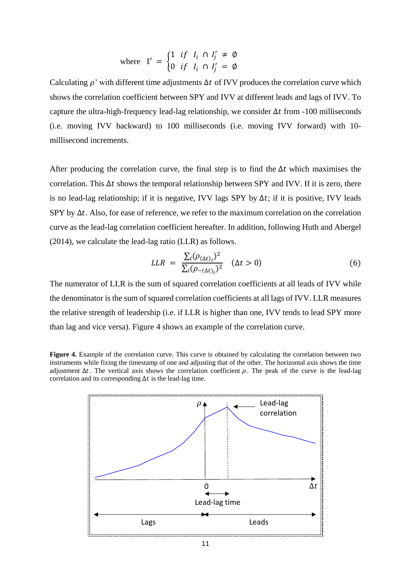where 
$$
\mathbb{I}' = \begin{cases} 1 & \text{if } I_i \cap I'_j \neq \emptyset \\ 0 & \text{if } I_i \cap I'_j = \emptyset \end{cases}
$$

Calculating  $\rho'$  with different time adjustments  $\Delta t$  of IVV produces the correlation curve which shows the correlation coefficient between SPY and IVV at different leads and lags of IVV. To capture the ultra-high-frequency lead-lag relationship, we consider  $\Delta t$  from -100 milliseconds (i.e. moving IVV backward) to 100 milliseconds (i.e. moving IVV forward) with 10 millisecond increments.

After producing the correlation curve, the final step is to find the  $\Delta t$  which maximises the correlation. This  $\Delta t$  shows the temporal relationship between SPY and IVV. If it is zero, there is no lead-lag relationship; if it is negative, IVV lags SPY by  $\Delta t$ ; if it is positive, IVV leads SPY by  $\Delta t$ . Also, for ease of reference, we refer to the maximum correlation on the correlation curve as the lead-lag correlation coefficient hereafter. In addition, following [Huth and Abergel](#page-22-0)  (2014), we calculate the lead-lag ratio (LLR) as follows.

$$
LLR = \frac{\sum_{i} (\rho_{(\Delta t)_{i}})^{2}}{\sum_{i} (\rho_{-(\Delta t)_{i}})^{2}} \quad (\Delta t > 0)
$$
\n
$$
(6)
$$

The numerator of LLR is the sum of squared correlation coefficients at all leads of IVV while the denominator is the sum of squared correlation coefficients at all lags of IVV. LLR measures the relative strength of leadership (i.e. if LLR is higher than one, IVV tends to lead SPY more than lag and vice versa). Figure 4 shows an example of the correlation curve.

**Figure 4.** Example of the correlation curve. This curve is obtained by calculating the correlation between two instruments while fixing the timestamp of one and adjusting that of the other. The horizontal axis shows the time adjustment  $\Delta t$ . The vertical axis shows the correlation coefficient  $\rho$ . The peak of the curve is the lead-lag correlation and its corresponding  $\Delta t$  is the lead-lag time.

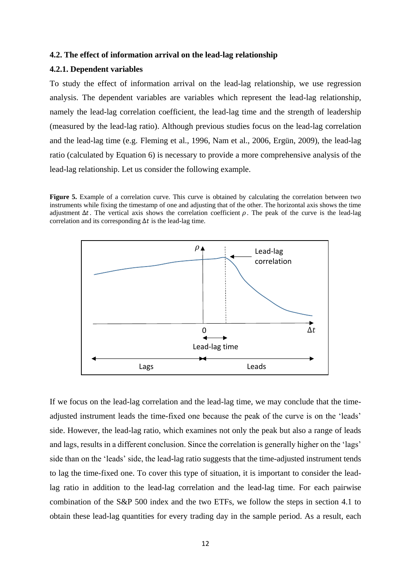### **4.2. The effect of information arrival on the lead-lag relationship**

#### **4.2.1. Dependent variables**

To study the effect of information arrival on the lead-lag relationship, we use regression analysis. The dependent variables are variables which represent the lead-lag relationship, namely the lead-lag correlation coefficient, the lead-lag time and the strength of leadership (measured by the lead-lag ratio). Although previous studies focus on the lead-lag correlation and the lead-lag time (e.g. Fleming et al., 1996, [Nam et al., 2006,](#page-22-13) [Ergün, 2009\)](#page-21-10), the lead-lag ratio (calculated by Equation 6) is necessary to provide a more comprehensive analysis of the lead-lag relationship. Let us consider the following example.

Figure 5. Example of a correlation curve. This curve is obtained by calculating the correlation between two instruments while fixing the timestamp of one and adjusting that of the other. The horizontal axis shows the time adjustment  $\Delta t$ . The vertical axis shows the correlation coefficient  $\rho$ . The peak of the curve is the lead-lag correlation and its corresponding  $\Delta t$  is the lead-lag time.



If we focus on the lead-lag correlation and the lead-lag time, we may conclude that the timeadjusted instrument leads the time-fixed one because the peak of the curve is on the 'leads' side. However, the lead-lag ratio, which examines not only the peak but also a range of leads and lags, results in a different conclusion. Since the correlation is generally higher on the 'lags' side than on the 'leads' side, the lead-lag ratio suggests that the time-adjusted instrument tends to lag the time-fixed one. To cover this type of situation, it is important to consider the leadlag ratio in addition to the lead-lag correlation and the lead-lag time. For each pairwise combination of the S&P 500 index and the two ETFs, we follow the steps in section 4.1 to obtain these lead-lag quantities for every trading day in the sample period. As a result, each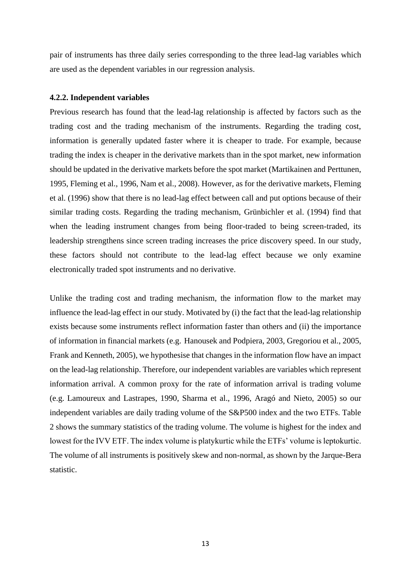pair of instruments has three daily series corresponding to the three lead-lag variables which are used as the dependent variables in our regression analysis.

### **4.2.2. Independent variables**

Previous research has found that the lead-lag relationship is affected by factors such as the trading cost and the trading mechanism of the instruments. Regarding the trading cost, information is generally updated faster where it is cheaper to trade. For example, because trading the index is cheaper in the derivative markets than in the spot market, new information should be updated in the derivative markets before the spot market [\(Martikainen and Perttunen,](#page-22-16)  [1995,](#page-22-16) [Fleming et al., 1996,](#page-21-1) [Nam et al., 2008\)](#page-22-17). However, as for the derivative markets, [Fleming](#page-21-1)  et al. (1996) show that there is no lead-lag effect between call and put options because of their similar trading costs. Regarding the trading mechanism, [Grünbichler et al. \(1994\)](#page-21-15) find that when the leading instrument changes from being floor-traded to being screen-traded, its leadership strengthens since screen trading increases the price discovery speed. In our study, these factors should not contribute to the lead-lag effect because we only examine electronically traded spot instruments and no derivative.

Unlike the trading cost and trading mechanism, the information flow to the market may influence the lead-lag effect in our study. Motivated by (i) the fact that the lead-lag relationship exists because some instruments reflect information faster than others and (ii) the importance of information in financial markets (e.g.[\(Hanousek and Podpiera, 2003,](#page-22-6) [Gregoriou et al., 2005,](#page-21-5) [Frank and Kenneth, 2005\)](#page-21-7), we hypothesise that changes in the information flow have an impact on the lead-lag relationship. Therefore, our independent variables are variables which represent information arrival. A common proxy for the rate of information arrival is trading volume (e.g. Lamoureux and Lastrapes, 1990, [Sharma et al., 1996,](#page-22-8) [Aragó and Nieto, 2005\)](#page-21-6) so our independent variables are daily trading volume of the S&P500 index and the two ETFs. Table 2 shows the summary statistics of the trading volume. The volume is highest for the index and lowest for the IVV ETF. The index volume is platykurtic while the ETFs' volume is leptokurtic. The volume of all instruments is positively skew and non-normal, as shown by the Jarque-Bera statistic.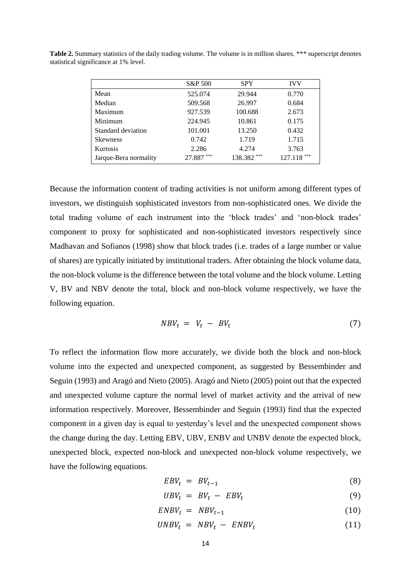|                       | S&P 500   | <b>SPY</b> | <b>IVV</b>    |
|-----------------------|-----------|------------|---------------|
| Mean                  | 525.074   | 29.944     | 0.770         |
| Median                | 509.568   | 26.997     | 0.684         |
| Maximum               | 927.539   | 100.688    | 2.673         |
| Minimum               | 224.945   | 10.861     | 0.175         |
| Standard deviation    | 101.001   | 13.250     | 0.432         |
| <b>Skewness</b>       | 0.742     | 1.719      | 1.715         |
| Kurtosis              | 2.286     | 4.274      | 3.763         |
| Jarque-Bera normality | 27.887*** | 138.382*** | $127.118$ *** |

Table 2. Summary statistics of the daily trading volume. The volume is in million shares. \*\*\* superscript denotes statistical significance at 1% level.

Because the information content of trading activities is not uniform among different types of investors, we distinguish sophisticated investors from non-sophisticated ones. We divide the total trading volume of each instrument into the 'block trades' and 'non-block trades' component to proxy for sophisticated and non-sophisticated investors respectively since [Madhavan and Sofianos \(1998\)](#page-22-22) show that block trades (i.e. trades of a large number or value of shares) are typically initiated by institutional traders. After obtaining the block volume data, the non-block volume is the difference between the total volume and the block volume. Letting V, BV and NBV denote the total, block and non-block volume respectively, we have the following equation.

$$
NBV_t = V_t - BV_t \tag{7}
$$

To reflect the information flow more accurately, we divide both the block and non-block volume into the expected and unexpected component, as suggested by [Bessembinder and](#page-21-19)  Seguin (1993) and [Aragó and Nieto \(2005\). Aragó and Nieto \(2005\)](#page-21-6) point out that the expected and unexpected volume capture the normal level of market activity and the arrival of new information respectively. Moreover, [Bessembinder and Seguin \(1993\)](#page-21-19) find that the expected component in a given day is equal to yesterday's level and the unexpected component shows the change during the day. Letting EBV, UBV, ENBV and UNBV denote the expected block, unexpected block, expected non-block and unexpected non-block volume respectively, we have the following equations.

$$
EBV_t = BV_{t-1} \tag{8}
$$

$$
UBV_t = BV_t - EBV_t \tag{9}
$$

$$
ENBV_t = NBV_{t-1} \tag{10}
$$

$$
UNBV_t = NBV_t - ENBV_t \tag{11}
$$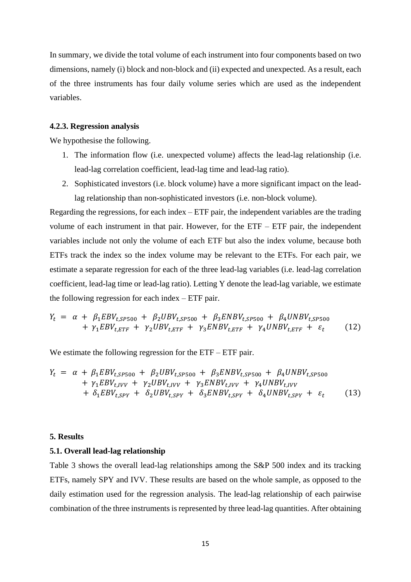In summary, we divide the total volume of each instrument into four components based on two dimensions, namely (i) block and non-block and (ii) expected and unexpected. As a result, each of the three instruments has four daily volume series which are used as the independent variables.

### **4.2.3. Regression analysis**

We hypothesise the following.

- 1. The information flow (i.e. unexpected volume) affects the lead-lag relationship (i.e. lead-lag correlation coefficient, lead-lag time and lead-lag ratio).
- 2. Sophisticated investors (i.e. block volume) have a more significant impact on the leadlag relationship than non-sophisticated investors (i.e. non-block volume).

Regarding the regressions, for each index – ETF pair, the independent variables are the trading volume of each instrument in that pair. However, for the ETF – ETF pair, the independent variables include not only the volume of each ETF but also the index volume, because both ETFs track the index so the index volume may be relevant to the ETFs. For each pair, we estimate a separate regression for each of the three lead-lag variables (i.e. lead-lag correlation coefficient, lead-lag time or lead-lag ratio). Letting Y denote the lead-lag variable, we estimate the following regression for each index – ETF pair.

$$
Y_{t} = \alpha + \beta_{1}EBV_{t,SP500} + \beta_{2}UBV_{t,SP500} + \beta_{3}ENBV_{t,SP500} + \beta_{4}UNBV_{t,SP500} + \gamma_{1}EBV_{t,ETF} + \gamma_{2}UBV_{t,ETF} + \gamma_{3}ENBV_{t,ETF} + \gamma_{4}UNBV_{t,ETF} + \varepsilon_{t}
$$
(12)

We estimate the following regression for the ETF – ETF pair.

$$
Y_t = \alpha + \beta_1 EBV_{t,SP500} + \beta_2 UBV_{t,SP500} + \beta_3 ENBV_{t,SP500} + \beta_4 UNBV_{t,SP500}
$$
  
+  $\gamma_1 EBV_{t,IVV} + \gamma_2 UBV_{t,IVV} + \gamma_3 ENBV_{t,IVV} + \gamma_4 UNBV_{t,IVV}$   
+  $\delta_1 EBV_{t,SPY} + \delta_2 UBV_{t,SPY} + \delta_3 ENBV_{t,SPY} + \delta_4 UNBV_{t,SPY} + \varepsilon_t$  (13)

#### **5. Results**

### **5.1. Overall lead-lag relationship**

Table 3 shows the overall lead-lag relationships among the S&P 500 index and its tracking ETFs, namely SPY and IVV. These results are based on the whole sample, as opposed to the daily estimation used for the regression analysis. The lead-lag relationship of each pairwise combination of the three instruments is represented by three lead-lag quantities. After obtaining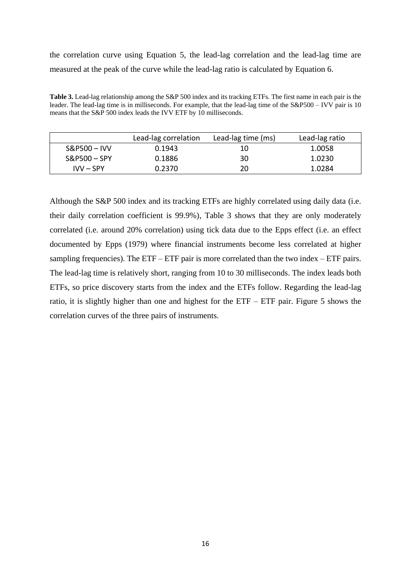the correlation curve using Equation 5, the lead-lag correlation and the lead-lag time are measured at the peak of the curve while the lead-lag ratio is calculated by Equation 6.

**Table 3.** Lead-lag relationship among the S&P 500 index and its tracking ETFs. The first name in each pair is the leader. The lead-lag time is in milliseconds. For example, that the lead-lag time of the S&P500 – IVV pair is 10 means that the S&P 500 index leads the IVV ETF by 10 milliseconds.

|                | Lead-lag correlation | Lead-lag time (ms) | Lead-lag ratio |
|----------------|----------------------|--------------------|----------------|
| $S&P500 - IVV$ | 0.1943               | 10                 | 1.0058         |
| $S&P500-SPY$   | 0.1886               | 30                 | 1.0230         |
| $IVV - SPY$    | 0.2370               | 20                 | 1.0284         |

Although the S&P 500 index and its tracking ETFs are highly correlated using daily data (i.e. their daily correlation coefficient is 99.9%), Table 3 shows that they are only moderately correlated (i.e. around 20% correlation) using tick data due to the Epps effect (i.e. an effect documented by [Epps \(1979\)](#page-21-20) where financial instruments become less correlated at higher sampling frequencies). The  $ETF - ETF$  pair is more correlated than the two index  $- ETF$  pairs. The lead-lag time is relatively short, ranging from 10 to 30 milliseconds. The index leads both ETFs, so price discovery starts from the index and the ETFs follow. Regarding the lead-lag ratio, it is slightly higher than one and highest for the ETF – ETF pair. Figure 5 shows the correlation curves of the three pairs of instruments.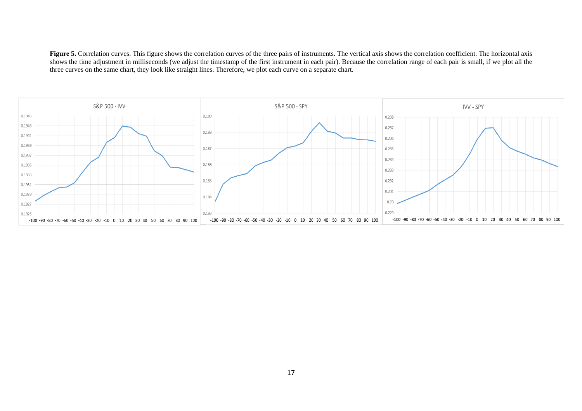Figure 5. Correlation curves. This figure shows the correlation curves of the three pairs of instruments. The vertical axis shows the correlation coefficient. The horizontal axis shows the time adjustment in milliseconds (we adjust the timestamp of the first instrument in each pair). Because the correlation range of each pair is small, if we plot all the three curves on the same chart, they look like straight lines. Therefore, we plot each curve on a separate chart.

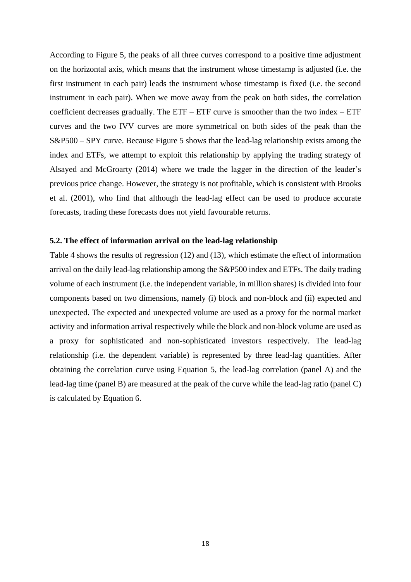According to Figure 5, the peaks of all three curves correspond to a positive time adjustment on the horizontal axis, which means that the instrument whose timestamp is adjusted (i.e. the first instrument in each pair) leads the instrument whose timestamp is fixed (i.e. the second instrument in each pair). When we move away from the peak on both sides, the correlation coefficient decreases gradually. The  $ETF - ETF$  curve is smoother than the two index –  $ETF$ curves and the two IVV curves are more symmetrical on both sides of the peak than the S&P500 – SPY curve. Because Figure 5 shows that the lead-lag relationship exists among the index and ETFs, we attempt to exploit this relationship by applying the trading strategy of [Alsayed and McGroarty \(2014\)](#page-21-3) where we trade the lagger in the direction of the leader's previous price change. However, the strategy is not profitable, which is consistent with [Brooks](#page-21-14)  et al. (2001), who find that although the lead-lag effect can be used to produce accurate forecasts, trading these forecasts does not yield favourable returns.

# **5.2. The effect of information arrival on the lead-lag relationship**

Table 4 shows the results of regression (12) and (13), which estimate the effect of information arrival on the daily lead-lag relationship among the S&P500 index and ETFs. The daily trading volume of each instrument (i.e. the independent variable, in million shares) is divided into four components based on two dimensions, namely (i) block and non-block and (ii) expected and unexpected. The expected and unexpected volume are used as a proxy for the normal market activity and information arrival respectively while the block and non-block volume are used as a proxy for sophisticated and non-sophisticated investors respectively. The lead-lag relationship (i.e. the dependent variable) is represented by three lead-lag quantities. After obtaining the correlation curve using Equation 5, the lead-lag correlation (panel A) and the lead-lag time (panel B) are measured at the peak of the curve while the lead-lag ratio (panel C) is calculated by Equation 6.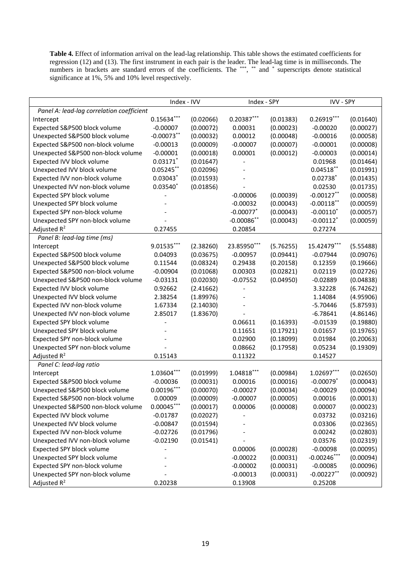**Table 4.** Effect of information arrival on the lead-lag relationship. This table shows the estimated coefficients for regression (12) and (13). The first instrument in each pair is the leader. The lead-lag time is in milliseconds. The numbers in brackets are standard errors of the coefficients. The \*\*\*, \*\* and \* superscripts denote statistical significance at 1%, 5% and 10% level respectively.

|                                           | Index - IVV  |           | Index - SPY   |           | IVV - SPY               |           |  |
|-------------------------------------------|--------------|-----------|---------------|-----------|-------------------------|-----------|--|
| Panel A: lead-lag correlation coefficient |              |           |               |           |                         |           |  |
| Intercept                                 | $0.15634***$ | (0.02066) | $0.20387***$  | (0.01383) | $0.26919***$            | (0.01640) |  |
| Expected S&P500 block volume              | $-0.00007$   | (0.00072) | 0.00031       | (0.00023) | $-0.00020$              | (0.00027) |  |
| Unexpected S&P500 block volume            | $-0.00073**$ | (0.00032) | 0.00012       | (0.00048) | $-0.00016$              | (0.00058) |  |
| Expected S&P500 non-block volume          | $-0.00013$   | (0.00009) | $-0.00007$    | (0.00007) | $-0.00001$              | (0.00008) |  |
| Unexpected S&P500 non-block volume        | $-0.00001$   | (0.00018) | 0.00001       | (0.00012) | $-0.00003$              | (0.00014) |  |
| Expected IVV block volume                 | $0.03171$ *  | (0.01647) |               |           | 0.01968                 | (0.01464) |  |
| Unexpected IVV block volume               | $0.05245***$ | (0.02096) |               |           | $0.04518$ **            | (0.01991) |  |
| Expected IVV non-block volume             | $0.03043*$   | (0.01593) |               |           | $0.02738$ *             | (0.01435) |  |
| Unexpected IVV non-block volume           | $0.03540*$   | (0.01856) |               |           | 0.02530                 | (0.01735) |  |
| Expected SPY block volume                 |              |           | $-0.00006$    | (0.00039) | $-0.00127$ **           | (0.00058) |  |
| Unexpected SPY block volume               |              |           | $-0.00032$    | (0.00043) | $-0.00118$ **           | (0.00059) |  |
| Expected SPY non-block volume             |              |           | $-0.00077$ *  | (0.00043) | $-0.00110$ <sup>*</sup> | (0.00057) |  |
| Unexpected SPY non-block volume           |              |           | $-0.00086$ ** | (0.00043) | $-0.00112$ <sup>*</sup> | (0.00059) |  |
| Adjusted $R^2$                            | 0.27455      |           | 0.20854       |           | 0.27274                 |           |  |
| Panel B: lead-lag time (ms)               |              |           |               |           |                         |           |  |
| Intercept                                 | $9.01535***$ | (2.38260) | 23.85950***   | (5.76255) | 15.42479***             | (5.55488) |  |
| Expected S&P500 block volume              | 0.04093      | (0.03675) | $-0.00957$    | (0.09441) | $-0.07944$              | (0.09076) |  |
| Unexpected S&P500 block volume            | 0.11544      | (0.08324) | 0.29438       | (0.20158) | 0.12359                 | (0.19666) |  |
| Expected S&P500 non-block volume          | $-0.00904$   | (0.01068) | 0.00303       | (0.02821) | 0.02119                 | (0.02726) |  |
| Unexpected S&P500 non-block volume        | $-0.03131$   | (0.02030) | $-0.07552$    | (0.04950) | $-0.02889$              | (0.04838) |  |
| Expected IVV block volume                 | 0.92662      | (2.41662) |               |           | 3.32228                 | (6.74262) |  |
| Unexpected IVV block volume               | 2.38254      | (1.89976) |               |           | 1.14084                 | (4.95906) |  |
| Expected IVV non-block volume             | 1.67334      | (2.14030) |               |           | $-5.70446$              | (5.87593) |  |
| Unexpected IVV non-block volume           | 2.85017      | (1.83670) |               |           | $-6.78641$              | (4.86146) |  |
| Expected SPY block volume                 |              |           | 0.06611       | (0.16393) | $-0.01539$              | (0.19880) |  |
| Unexpected SPY block volume               |              |           | 0.11651       | (0.17921) | 0.01657                 | (0.19765) |  |
| Expected SPY non-block volume             |              |           | 0.02900       | (0.18099) | 0.01984                 | (0.20063) |  |
| Unexpected SPY non-block volume           |              |           | 0.08662       | (0.17958) | 0.05234                 | (0.19309) |  |
| Adjusted $R^2$                            | 0.15143      |           | 0.11322       |           | 0.14527                 |           |  |
| Panel C: lead-lag ratio                   |              |           |               |           |                         |           |  |
| Intercept                                 | 1.03604***   | (0.01999) | 1.04818***    | (0.00984) | 1.02697***              | (0.02650) |  |
| Expected S&P500 block volume              | $-0.00036$   | (0.00031) | 0.00016       | (0.00016) | $-0.00079$ <sup>*</sup> | (0.00043) |  |
| Unexpected S&P500 block volume            | $0.00196***$ | (0.00070) | $-0.00027$    | (0.00034) | $-0.00029$              | (0.00094) |  |
| Expected S&P500 non-block volume          | 0.00009      | (0.00009) | $-0.00007$    | (0.00005) | 0.00016                 | (0.00013) |  |
| Unexpected S&P500 non-block volume        | $0.00045***$ | (0.00017) | 0.00006       | (0.00008) | 0.00007                 | (0.00023) |  |
| Expected IVV block volume                 | $-0.01787$   | (0.02027) |               |           | 0.03732                 | (0.03216) |  |
| Unexpected IVV block volume               | $-0.00847$   | (0.01594) |               |           | 0.03306                 | (0.02365) |  |
| Expected IVV non-block volume             | $-0.02726$   | (0.01796) |               |           | 0.00242                 | (0.02803) |  |
| Unexpected IVV non-block volume           | $-0.02190$   | (0.01541) |               |           | 0.03576                 | (0.02319) |  |
| Expected SPY block volume                 |              |           | 0.00006       | (0.00028) | $-0.00098$              | (0.00095) |  |
| Unexpected SPY block volume               |              |           | $-0.00022$    | (0.00031) | $-0.00246***$           | (0.00094) |  |
| Expected SPY non-block volume             |              |           | $-0.00002$    | (0.00031) | $-0.00085$              | (0.00096) |  |
| Unexpected SPY non-block volume           |              |           | $-0.00013$    | (0.00031) | $-0.00227$ **           | (0.00092) |  |
| Adjusted R <sup>2</sup>                   | 0.20238      |           | 0.13908       |           | 0.25208                 |           |  |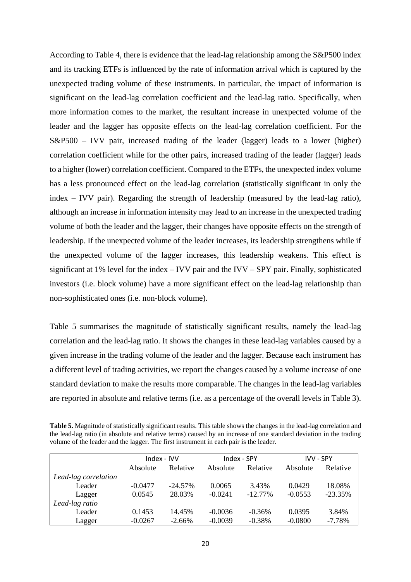According to Table 4, there is evidence that the lead-lag relationship among the S&P500 index and its tracking ETFs is influenced by the rate of information arrival which is captured by the unexpected trading volume of these instruments. In particular, the impact of information is significant on the lead-lag correlation coefficient and the lead-lag ratio. Specifically, when more information comes to the market, the resultant increase in unexpected volume of the leader and the lagger has opposite effects on the lead-lag correlation coefficient. For the S&P500 – IVV pair, increased trading of the leader (lagger) leads to a lower (higher) correlation coefficient while for the other pairs, increased trading of the leader (lagger) leads to a higher (lower) correlation coefficient. Compared to the ETFs, the unexpected index volume has a less pronounced effect on the lead-lag correlation (statistically significant in only the index – IVV pair). Regarding the strength of leadership (measured by the lead-lag ratio), although an increase in information intensity may lead to an increase in the unexpected trading volume of both the leader and the lagger, their changes have opposite effects on the strength of leadership. If the unexpected volume of the leader increases, its leadership strengthens while if the unexpected volume of the lagger increases, this leadership weakens. This effect is significant at 1% level for the index – IVV pair and the IVV – SPY pair. Finally, sophisticated investors (i.e. block volume) have a more significant effect on the lead-lag relationship than non-sophisticated ones (i.e. non-block volume).

Table 5 summarises the magnitude of statistically significant results, namely the lead-lag correlation and the lead-lag ratio. It shows the changes in these lead-lag variables caused by a given increase in the trading volume of the leader and the lagger. Because each instrument has a different level of trading activities, we report the changes caused by a volume increase of one standard deviation to make the results more comparable. The changes in the lead-lag variables are reported in absolute and relative terms (i.e. as a percentage of the overall levels in Table 3).

| Table 5. Magnitude of statistically significant results. This table shows the changes in the lead-lag correlation and |
|-----------------------------------------------------------------------------------------------------------------------|
| the lead-lag ratio (in absolute and relative terms) caused by an increase of one standard deviation in the trading    |
| volume of the leader and the lagger. The first instrument in each pair is the leader.                                 |

|                      | Index - IVV |            | Index - SPY |            | <b>IVV - SPY</b> |           |
|----------------------|-------------|------------|-------------|------------|------------------|-----------|
|                      | Absolute    | Relative   | Absolute    | Relative   | Absolute         | Relative  |
| Lead-lag correlation |             |            |             |            |                  |           |
| Leader               | $-0.0477$   | $-24.57\%$ | 0.0065      | 3.43%      | 0.0429           | 18.08%    |
| Lagger               | 0.0545      | 28.03%     | $-0.0241$   | $-12.77\%$ | $-0.0553$        | $-23.35%$ |
| Lead-lag ratio       |             |            |             |            |                  |           |
| Leader               | 0.1453      | 14.45%     | $-0.0036$   | $-0.36%$   | 0.0395           | 3.84%     |
| Lagger               | $-0.0267$   | $-2.66\%$  | $-0.0039$   | $-0.38%$   | $-0.0800$        | $-7.78%$  |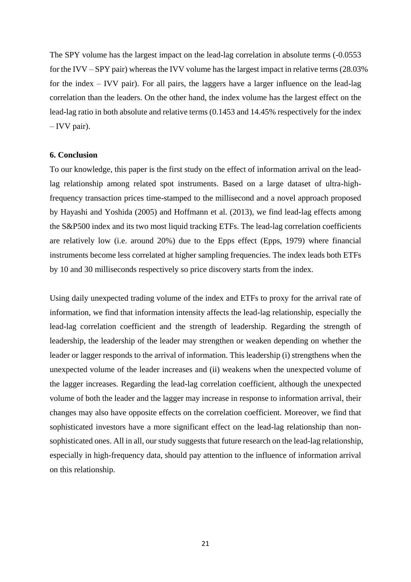The SPY volume has the largest impact on the lead-lag correlation in absolute terms (-0.0553 for the IVV – SPY pair) whereas the IVV volume has the largest impact in relative terms (28.03% for the index – IVV pair). For all pairs, the laggers have a larger influence on the lead-lag correlation than the leaders. On the other hand, the index volume has the largest effect on the lead-lag ratio in both absolute and relative terms (0.1453 and 14.45% respectively for the index – IVV pair).

#### **6. Conclusion**

To our knowledge, this paper is the first study on the effect of information arrival on the leadlag relationship among related spot instruments. Based on a large dataset of ultra-highfrequency transaction prices time-stamped to the millisecond and a novel approach proposed by [Hayashi and Yoshida \(2005\)](#page-22-11) and [Hoffmann et al. \(2013\),](#page-22-12) we find lead-lag effects among the S&P500 index and its two most liquid tracking ETFs. The lead-lag correlation coefficients are relatively low (i.e. around 20%) due to the Epps effect [\(Epps, 1979\)](#page-21-20) where financial instruments become less correlated at higher sampling frequencies. The index leads both ETFs by 10 and 30 milliseconds respectively so price discovery starts from the index.

Using daily unexpected trading volume of the index and ETFs to proxy for the arrival rate of information, we find that information intensity affects the lead-lag relationship, especially the lead-lag correlation coefficient and the strength of leadership. Regarding the strength of leadership, the leadership of the leader may strengthen or weaken depending on whether the leader or lagger responds to the arrival of information. This leadership (i) strengthens when the unexpected volume of the leader increases and (ii) weakens when the unexpected volume of the lagger increases. Regarding the lead-lag correlation coefficient, although the unexpected volume of both the leader and the lagger may increase in response to information arrival, their changes may also have opposite effects on the correlation coefficient. Moreover, we find that sophisticated investors have a more significant effect on the lead-lag relationship than nonsophisticated ones. All in all, our study suggests that future research on the lead-lag relationship, especially in high-frequency data, should pay attention to the influence of information arrival on this relationship.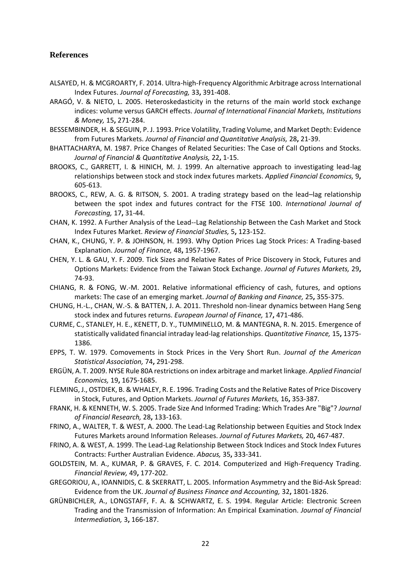# **References**

- <span id="page-21-3"></span>ALSAYED, H. & MCGROARTY, F. 2014. Ultra-high-Frequency Algorithmic Arbitrage across International Index Futures. *Journal of Forecasting,* 33**,** 391-408.
- <span id="page-21-6"></span>ARAGÓ, V. & NIETO, L. 2005. Heteroskedasticity in the returns of the main world stock exchange indices: volume versus GARCH effects. *Journal of International Financial Markets, Institutions & Money,* 15**,** 271-284.
- <span id="page-21-19"></span>BESSEMBINDER, H. & SEGUIN, P. J. 1993. Price Volatility, Trading Volume, and Market Depth: Evidence from Futures Markets. *Journal of Financial and Quantitative Analysis,* 28**,** 21-39.
- <span id="page-21-18"></span>BHATTACHARYA, M. 1987. Price Changes of Related Securities: The Case of Call Options and Stocks. *Journal of Financial & Quantitative Analysis,* 22**,** 1-15.
- <span id="page-21-0"></span>BROOKS, C., GARRETT, I. & HINICH, M. J. 1999. An alternative approach to investigating lead-lag relationships between stock and stock index futures markets. *Applied Financial Economics,* 9**,** 605-613.
- <span id="page-21-14"></span>BROOKS, C., REW, A. G. & RITSON, S. 2001. A trading strategy based on the lead–lag relationship between the spot index and futures contract for the FTSE 100. *International Journal of Forecasting,* 17**,** 31-44.
- <span id="page-21-11"></span>CHAN, K. 1992. A Further Analysis of the Lead--Lag Relationship Between the Cash Market and Stock Index Futures Market. *Review of Financial Studies,* 5**,** 123-152.
- <span id="page-21-17"></span>CHAN, K., CHUNG, Y. P. & JOHNSON, H. 1993. Why Option Prices Lag Stock Prices: A Trading-based Explanation. *Journal of Finance,* 48**,** 1957-1967.
- <span id="page-21-2"></span>CHEN, Y. L. & GAU, Y. F. 2009. Tick Sizes and Relative Rates of Price Discovery in Stock, Futures and Options Markets: Evidence from the Taiwan Stock Exchange. *Journal of Futures Markets,* 29**,** 74-93.
- <span id="page-21-9"></span>CHIANG, R. & FONG, W.-M. 2001. Relative informational efficiency of cash, futures, and options markets: The case of an emerging market. *Journal of Banking and Finance,* 25**,** 355-375.
- <span id="page-21-16"></span>CHUNG, H.-L., CHAN, W.-S. & BATTEN, J. A. 2011. Threshold non-linear dynamics between Hang Seng stock index and futures returns. *European Journal of Finance,* 17**,** 471-486.
- <span id="page-21-4"></span>CURME, C., STANLEY, H. E., KENETT, D. Y., TUMMINELLO, M. & MANTEGNA, R. N. 2015. Emergence of statistically validated financial intraday lead-lag relationships. *Quantitative Finance,* 15**,** 1375- 1386.
- <span id="page-21-20"></span>EPPS, T. W. 1979. Comovements in Stock Prices in the Very Short Run. *Journal of the American Statistical Association,* 74**,** 291-298.
- <span id="page-21-10"></span>ERGÜN, A. T. 2009. NYSE Rule 80A restrictions on index arbitrage and market linkage. *Applied Financial Economics,* 19**,** 1675-1685.
- <span id="page-21-1"></span>FLEMING, J., OSTDIEK, B. & WHALEY, R. E. 1996. Trading Costs and the Relative Rates of Price Discovery in Stock, Futures, and Option Markets. *Journal of Futures Markets,* 16**,** 353-387.
- <span id="page-21-7"></span>FRANK, H. & KENNETH, W. S. 2005. Trade Size And Informed Trading: Which Trades Are "Big"? *Journal of Financial Research,* 28**,** 133-163.
- <span id="page-21-13"></span>FRINO, A., WALTER, T. & WEST, A. 2000. The Lead-Lag Relationship between Equities and Stock Index Futures Markets around Information Releases. *Journal of Futures Markets,* 20**,** 467-487.
- <span id="page-21-12"></span>FRINO, A. & WEST, A. 1999. The Lead-Lag Relationship Between Stock Indices and Stock Index Futures Contracts: Further Australian Evidence. *Abacus,* 35**,** 333-341.
- <span id="page-21-8"></span>GOLDSTEIN, M. A., KUMAR, P. & GRAVES, F. C. 2014. Computerized and High-Frequency Trading. *Financial Review,* 49**,** 177-202.
- <span id="page-21-5"></span>GREGORIOU, A., IOANNIDIS, C. & SKERRATT, L. 2005. Information Asymmetry and the Bid-Ask Spread: Evidence from the UK. *Journal of Business Finance and Accounting,* 32**,** 1801-1826.
- <span id="page-21-15"></span>GRÜNBICHLER, A., LONGSTAFF, F. A. & SCHWARTZ, E. S. 1994. Regular Article: Electronic Screen Trading and the Transmission of Information: An Empirical Examination. *Journal of Financial Intermediation,* 3**,** 166-187.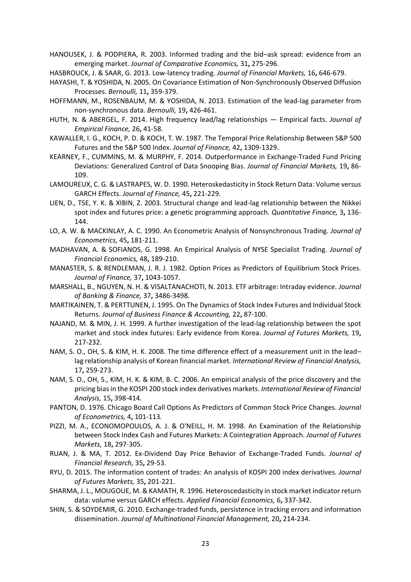<span id="page-22-6"></span>HANOUSEK, J. & PODPIERA, R. 2003. Informed trading and the bid–ask spread: evidence from an emerging market. *Journal of Comparative Economics,* 31**,** 275-296.

<span id="page-22-9"></span>HASBROUCK, J. & SAAR, G. 2013. Low-latency trading. *Journal of Financial Markets,* 16**,** 646-679.

- <span id="page-22-11"></span>HAYASHI, T. & YOSHIDA, N. 2005. On Covariance Estimation of Non-Synchronously Observed Diffusion Processes. *Bernoulli,* 11**,** 359-379.
- <span id="page-22-12"></span>HOFFMANN, M., ROSENBAUM, M. & YOSHIDA, N. 2013. Estimation of the lead-lag parameter from non-synchronous data. *Bernoulli,* 19**,** 426-461.
- <span id="page-22-0"></span>HUTH, N. & ABERGEL, F. 2014. High frequency lead/lag relationships — Empirical facts. *Journal of Empirical Finance,* 26**,** 41-58.
- <span id="page-22-1"></span>KAWALLER, I. G., KOCH, P. D. & KOCH, T. W. 1987. The Temporal Price Relationship Between S&P 500 Futures and the S&P 500 Index. *Journal of Finance,* 42**,** 1309-1329.
- <span id="page-22-3"></span>KEARNEY, F., CUMMINS, M. & MURPHY, F. 2014. Outperformance in Exchange-Traded Fund Pricing Deviations: Generalized Control of Data Snooping Bias. *Journal of Financial Markets,* 19**,** 86- 109.
- <span id="page-22-7"></span>LAMOUREUX, C. G. & LASTRAPES, W. D. 1990. Heteroskedasticity in Stock Return Data: Volume versus GARCH Effects. *Journal of Finance,* 45**,** 221-229.
- <span id="page-22-18"></span>LIEN, D., TSE, Y. K. & XIBIN, Z. 2003. Structural change and lead-lag relationship between the Nikkei spot index and futures price: a genetic programming approach. *Quantitative Finance,* 3**,** 136- 144.
- <span id="page-22-10"></span>LO, A. W. & MACKINLAY, A. C. 1990. An Econometric Analysis of Nonsynchronous Trading. *Journal of Econometrics,* 45**,** 181-211.
- <span id="page-22-22"></span>MADHAVAN, A. & SOFIANOS, G. 1998. An Empirical Analysis of NYSE Specialist Trading. *Journal of Financial Economics,* 48**,** 189-210.
- <span id="page-22-20"></span>MANASTER, S. & RENDLEMAN, J. R. J. 1982. Option Prices as Predictors of Equilibrium Stock Prices. *Journal of Finance,* 37**,** 1043-1057.
- <span id="page-22-4"></span>MARSHALL, B., NGUYEN, N. H. & VISALTANACHOTI, N. 2013. ETF arbitrage: Intraday evidence. *Journal of Banking & Finance,* 37**,** 3486-3498.
- <span id="page-22-16"></span>MARTIKAINEN, T. & PERTTUNEN, J. 1995. On The Dynamics of Stock Index Futures and Individual Stock Returns. *Journal of Business Finance & Accounting,* 22**,** 87-100.
- <span id="page-22-15"></span>NAJAND, M. & MIN, J. H. 1999. A further investigation of the lead-lag relationship between the spot market and stock index futures: Early evidence from Korea. *Journal of Futures Markets,* 19**,** 217-232.
- <span id="page-22-17"></span>NAM, S. O., OH, S. & KIM, H. K. 2008. The time difference effect of a measurement unit in the lead– lag relationship analysis of Korean financial market. *International Review of Financial Analysis,* 17**,** 259-273.
- <span id="page-22-13"></span>NAM, S. O., OH, S., KIM, H. K. & KIM, B. C. 2006. An empirical analysis of the price discovery and the pricing bias in the KOSPI 200 stock index derivatives markets. *International Review of Financial Analysis,* 15**,** 398-414.
- <span id="page-22-19"></span>PANTON, D. 1976. Chicago Board Call Options As Predictors of Common Stock Price Changes. *Journal of Econometrics,* 4**,** 101-113.
- <span id="page-22-14"></span>PIZZI, M. A., ECONOMOPOULOS, A. J. & O'NEILL, H. M. 1998. An Examination of the Relationship between Stock Index Cash and Futures Markets: A Cointegration Approach. *Journal of Futures Markets,* 18**,** 297-305.
- <span id="page-22-5"></span>RUAN, J. & MA, T. 2012. Ex-Dividend Day Price Behavior of Exchange-Traded Funds. *Journal of Financial Research,* 35**,** 29-53.
- <span id="page-22-21"></span>RYU, D. 2015. The information content of trades: An analysis of KOSPI 200 index derivatives. *Journal of Futures Markets,* 35**,** 201-221.
- <span id="page-22-8"></span>SHARMA, J. L., MOUGOUE, M. & KAMATH, R. 1996. Heteroscedasticity in stock market indicator return data: volume versus GARCH effects. *Applied Financial Economics,* 6**,** 337-342.
- <span id="page-22-2"></span>SHIN, S. & SOYDEMIR, G. 2010. Exchange-traded funds, persistence in tracking errors and information dissemination. *Journal of Multinational Financial Management,* 20**,** 214-234.